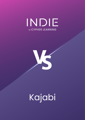## INDIE **BY CYPHER LEARNING**



# Kajabi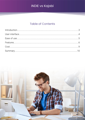## **Table of Contents**

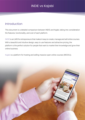## <span id="page-2-0"></span>Introduction

This document is a detailed comparison between INDIE and Kajabi, taking into consideration the features, functionality, and cost of each platform.

INDIE is an LMS for entrepreneurs that makes it easy to create, manage and sell online courses. With a beautiful and intuitive design, easy to use features and attractive pricing, the platform is the perfect solution for people that want to market their knowledge and grow their online business.

Kajabi is a platform for hosting and selling massive open online courses (MOOCs).

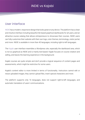## <span id="page-3-0"></span>User interface

INDIE has a modern, responsive design that looks great on any device. The platform has a clean and intuitive interface including beautiful tile-based graphical dashboards for all users, and an attractive course catalog that allows entrepreneurs to showcase their courses. INDIE users can fully customize their website with their own logo, color themes, terminology, visitor portal, and more. INDIE is available in more than 40 languages, including right-to-left languages.

The Kajabi user interface resembles a Wordpress site, especially the dashboard area, which is not so graphical as INDIE and is mainly text-based. Kajabi focuses on course creation and selling, and leaves the learning experience in the background.

Kajabi courses are quite simple and don't provide a logical sequence of content pages and assessments, which might be restrictive for some users.

Kajabi's content editor is more limited in terms of functionality. Instructors cannot edit or resize uploaded images, they cannot upload files, insert special characters and more.

The platform supports only 16 languages, does not support right-to-left languages, and automatic translation of users' communications.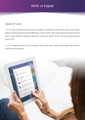## <span id="page-4-0"></span>Ease of use

INDIE is very intuitive and easy to use. In addition, it includes an online help center, with videos, getting started guides and searchable help content. INDIE has a rapid response support forum where staff members typically respond to questions within 15-30 minutes during business hours 24/5.

Kajabi is relatively easy to use, includes a help center with videos, searchable help content, email and chat support.

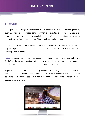## <span id="page-5-0"></span>Features

INDIE provides the range of functionality you'd expect in a modern LMS for entrepreneurs, such as support for courses content authoring, integrated e-commerce functionality, graphical course catalog, beautiful module layouts, gamification, automation, drip content, a customizable selling site, support for affiliates, marketing tools and more.

INDIE integrates with a wide variety of systems, including Google Drive, Calendars (iCal), PayPal, Stripe, Authorize.net, PayUbiz, Zapier, Panopto, and SMTP/POP3, SCORM, Common Cartridge Format, and QTI.

Kajabi is missing important learning engagement tools such as gamification, chat and activity feeds. There is also no automation for triggering rules when learners complete tasks in courses and there is no resources catalog to store and organize all materials.

Kajabi also has limited SEO options, mainly focused on optimizing the page title, description and image for social media sharing. In comparison, INDIE offers users additional options such as setting up keywords, uploading a custom robot.txt file, adding SEO metadata for individual catalog items, and more.

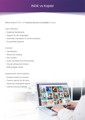Here is a list of INDIE LMS features that are not available in Kajabi:

#### User Interface

- Graphical dashboards
- Support for 40+ languages
- Automatic translation of communications
- Accessibility features

#### **Content**

- Gamification
- Resources catalog
- Drip content
- Audio recording from the browser
- Course ratings and reviews
- Selling digital media

#### Assessment and analytics

- Question banks for quizzes
- Custom reports for all users
- Saved and scheduled reports
- Learner activity timelines

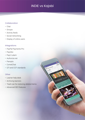ome<sub>Welln</sub>

Hamdmade

#### **Collaboration**

- Chat
- Groups
- Activity feeds
- Social networking
- Display of online users

#### Integrations

- PayPal Payments Pro
- PayUbiz
- PayU Latam
- Authorize.net
- Panopto
- CometChat
- QTI and CCF standards

#### **Other**

- Learner help desk
- Archiving learners
- Trash can for restoring deleted items
- Advanced SEO features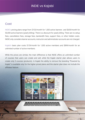### <span id="page-8-0"></span>**Cost**

INDIE's pricing plans range from \$103/month for 1,000 active learners and \$639/month for 50,000 active learners (yearly billing). There is a discount for yearly billing. There are no setup fees, cancellation fees, storage fees, bandwidth fees, support fees, or other hidden costs. INDIE only considers learner accounts, instructor and administrator accounts are not charged.

Kajabi's basic plan costs \$129/month for 1,000 active members and \$899/month for an unlimited number of active members.

While the prices are similar, the main difference is that INDIE offers an unlimited number of courses that users can create and sell, while the Kajabi starter plan allows users to create only 5 courses (products). In Kajabi the ability to remove the branding "Powered by Kajabi" is available only for the higher priced plans and the starter plan does not include the affiliates feature.